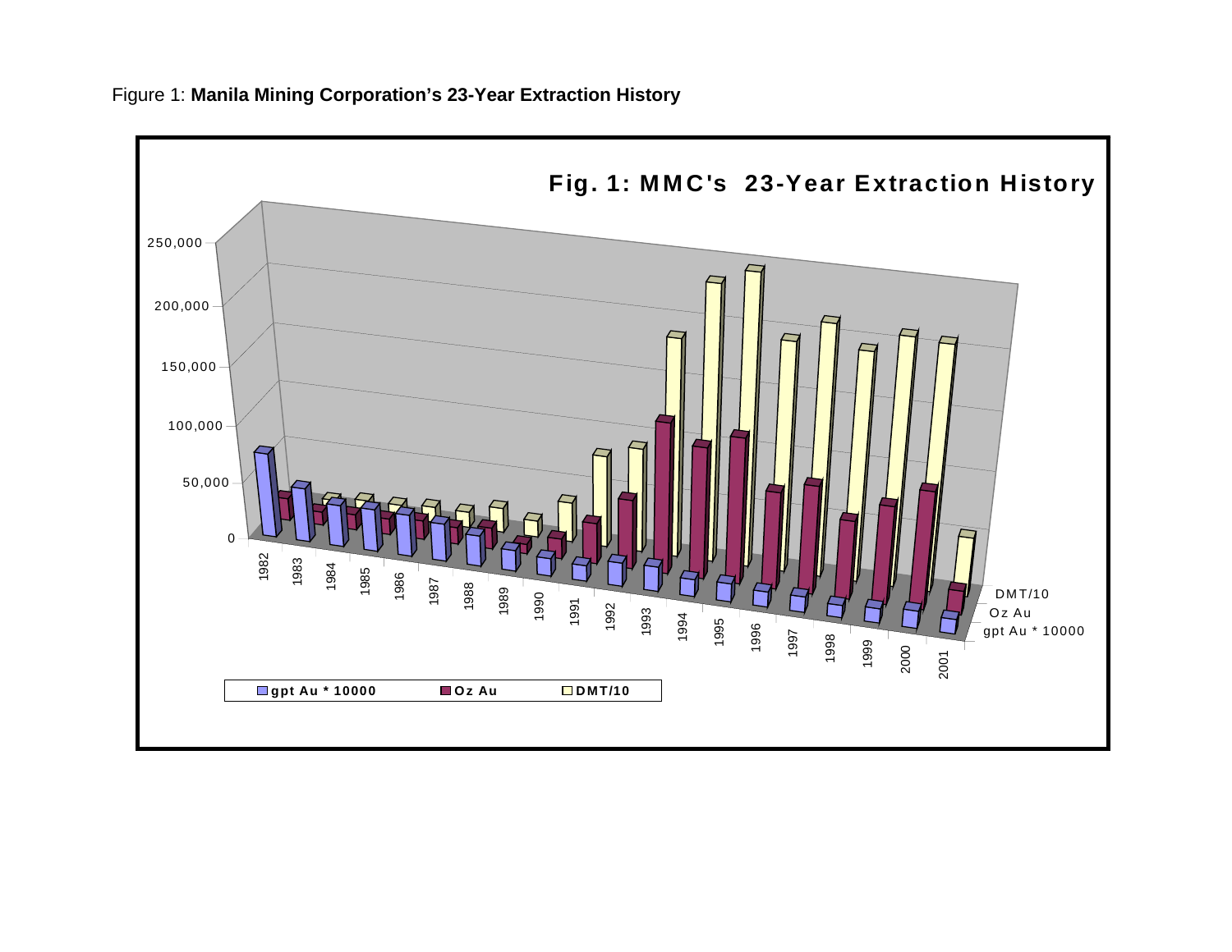

## Figure 1: **Manila Mining Corporation's 23-Year Extraction History**